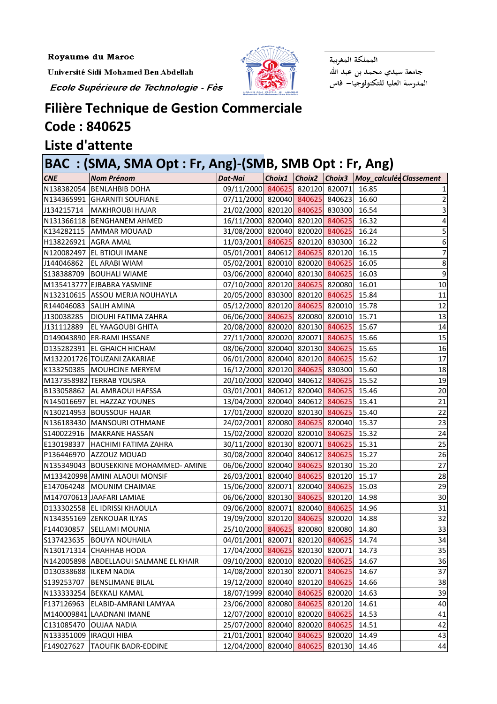Université Sidi Mohamed Ben Abdellah

Ecole Supérieure de Technologie - Fès



المملكة المغربية جامعة سيدي محمد بن عبد الله<br>المدرسة العليا للتكنولوجيا— فاس

## **Filière Technique de Gestion Commerciale**

## **Code : 840625**

## **Liste d'attente**

## **BAC : (SMA, SMA Opt : Fr, Ang)-(SMB, SMB Opt : Fr, Ang)**

| <b>CNE</b>              | <b>Nom Prénom</b>                      | Dat-Nai                               |        |        | $\sim$<br>Choix1 Choix2 Choix3 Moy_calculéd Classement |                  |
|-------------------------|----------------------------------------|---------------------------------------|--------|--------|--------------------------------------------------------|------------------|
|                         | N138382054 BENLAHBIB DOHA              | 09/11/2000 840625 820120 820071 16.85 |        |        |                                                        |                  |
|                         | N134365991 GHARNITI SOUFIANE           | 07/11/2000 820040 840625 840623 16.60 |        |        |                                                        |                  |
|                         | J134215714   MAKHROUBI HAJAR           | 21/02/2000 820120 840625 830300 16.54 |        |        |                                                        |                  |
|                         | N131366118 BENGHANEM AHMED             | 16/11/2000 820040 820120 840625 16.32 |        |        |                                                        | 4                |
|                         | K134282115 AMMAR MOUAAD                | 31/08/2000 820040 820020 840625 16.24 |        |        |                                                        | 5                |
| H138226921 AGRA AMAL    |                                        | 11/03/2001 840625 820120 830300 16.22 |        |        |                                                        | 6                |
|                         | N120082497 EL BTIOUI IMANE             | 05/01/2001 840612 840625 820120 16.15 |        |        |                                                        |                  |
| J144046862              | <b>EL ARABI WIAM</b>                   | 05/02/2001 820010 820020 840625 16.05 |        |        |                                                        | $\,8\,$          |
|                         | S138388709   BOUHALI WIAME             | 03/06/2000 820040 820130 840625 16.03 |        |        |                                                        | $\boldsymbol{9}$ |
|                         | M135413777 EJBABRA YASMINE             | 07/10/2000 820120 840625 820080 16.01 |        |        |                                                        | 10               |
|                         | N132310615 ASSOU MERJA NOUHAYLA        | 20/05/2000 830300 820120 840625 15.84 |        |        |                                                        | 11               |
| R144046083 SALIH AMINA  |                                        | 05/12/2000 820120 840625 820010 15.78 |        |        |                                                        | 12               |
| J130038285              | <b>DIOUHI FATIMA ZAHRA</b>             | 06/06/2000 840625 820080 820010 15.71 |        |        |                                                        | $\overline{13}$  |
| J131112889              | <b>EL YAAGOUBI GHITA</b>               | 20/08/2000 820020 820130 840625 15.67 |        |        |                                                        | $14\,$           |
|                         | D149043890 ER-RAMI IHSSANE             | 27/11/2000 820020 820071 840625 15.66 |        |        |                                                        | 15               |
|                         | D135282391 EL GHAICH HICHAM            | 08/06/2000 820040 820130 840625 15.65 |        |        |                                                        | $16\,$           |
|                         | M132201726 TOUZANI ZAKARIAE            | 06/01/2000 820040 820120 840625 15.62 |        |        |                                                        | 17               |
|                         | K133250385 MOUHCINE MERYEM             | 16/12/2000 820120 840625 830300 15.60 |        |        |                                                        | 18               |
|                         | M137358982 TERRAB YOUSRA               | 20/10/2000 820040 840612 840625 15.52 |        |        |                                                        | 19               |
|                         | B133058862 AL AMRAOUI HAFSSA           | 03/01/2001 840612 820040 840625 15.46 |        |        |                                                        | 20               |
|                         | N145016697 EL HAZZAZ YOUNES            | 13/04/2000 820040 840612 840625 15.41 |        |        |                                                        | 21               |
|                         | N130214953 BOUSSOUF HAJAR              | 17/01/2000 820020 820130 840625 15.40 |        |        |                                                        | 22               |
|                         | N136183430 MANSOURI OTHMANE            | 24/02/2001 820080 840625 820040 15.37 |        |        |                                                        | 23               |
|                         | S140022916   MAKRANE HASSAN            | 15/02/2000 820020 820010 840625 15.32 |        |        |                                                        | 24               |
| E130198337              | HACHIMI FATIMA ZAHRA                   | 30/11/2000 820130 820071 840625 15.31 |        |        |                                                        | 25               |
|                         | P136446970 AZZOUZ MOUAD                | 30/08/2000 820040 840612 840625 15.27 |        |        |                                                        | 26               |
|                         | N135349043 BOUSEKKINE MOHAMMED-AMINE   | 06/06/2000 820040 840625 820130 15.20 |        |        |                                                        | 27               |
|                         | M133420998 AMINI ALAOUI MONSIF         | 26/03/2001 820040 840625 820120 15.17 |        |        |                                                        | 28               |
|                         | E147064248   MOUNIM CHAIMAE            | 15/06/2000 820071 820040 840625 15.03 |        |        |                                                        | 29               |
|                         | M147070613 JAAFARI LAMIAE              | 06/06/2000 820130 840625 820120 14.98 |        |        |                                                        | 30 <sup>1</sup>  |
|                         | D133302558 EL IDRISSI KHAOULA          | 09/06/2000 820071 820040 840625 14.96 |        |        |                                                        | 31               |
|                         | N134355169 ZENKOUAR ILYAS              | 19/09/2000 820120 840625 820020       |        |        | 14.88                                                  | 32               |
| F144030857              | <b>SELLAMI MOUNIA</b>                  | 25/10/2000 840625 820080 820080       |        |        | 14.80                                                  | 33               |
| S137423635              | <b>BOUYA NOUHAILA</b>                  | 04/01/2001 820071 820120 840625       |        |        | 14.74                                                  | 34               |
|                         | N130171314 CHAHHAB HODA                | 17/04/2000 840625 820130 820071       |        |        | 14.73                                                  | 35               |
|                         | N142005898 ABDELLAOUI SALMANE EL KHAIR | 09/10/2000 820010 820020 840625       |        |        | 14.67                                                  | 36               |
| D130338688  ILKEM NADIA |                                        | 14/08/2000 820130 820071 840625       |        |        | 14.67                                                  | 37               |
| S139253707              | <b>BENSLIMANE BILAL</b>                | 19/12/2000 820040 820120 840625       |        |        | 14.66                                                  | 38               |
| N133333254              | <b>BEKKALI KAMAL</b>                   | 18/07/1999 820040 840625 820020       |        |        | 14.63                                                  | 39               |
| F137126963              | ELABID-AMRANI LAMYAA                   | 23/06/2000 820080 840625 820120       |        |        | 14.61                                                  | 40               |
|                         | M140009841 LAADNANI IMANE              | 12/07/2000 820010 820020 840625       |        |        | 14.53                                                  | 41               |
| C131085470              | <b>OUJAA NADIA</b>                     | 25/07/2000 820040 820020 840625       |        |        | 14.51                                                  | 42               |
| N133351009              | <b>IRAQUI HIBA</b>                     | 21/01/2001 820040                     | 840625 | 820020 | 14.49                                                  | 43               |
| F149027627              | <b>TAOUFIK BADR-EDDINE</b>             | 12/04/2000 820040 840625              |        | 820130 | 14.46                                                  | 44               |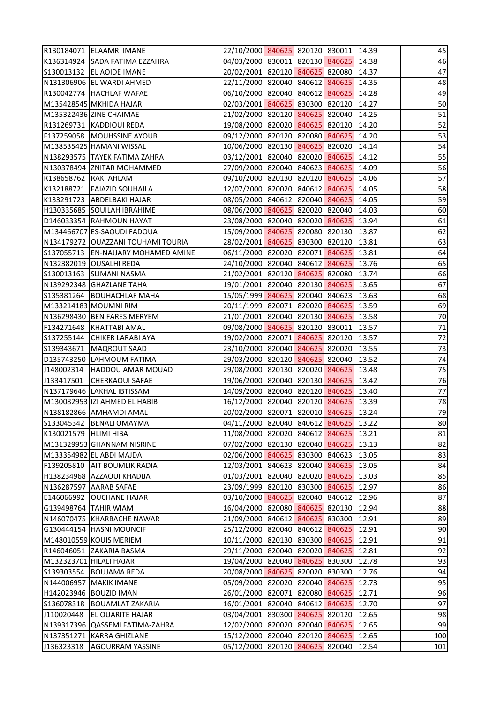|                         | R130184071 ELAAMRI IMANE              | 22/10/2000 840625 820120 830011 14.39 |  |        |       | 45     |
|-------------------------|---------------------------------------|---------------------------------------|--|--------|-------|--------|
|                         | K136314924 SADA FATIMA EZZAHRA        | 04/03/2000 830011 820130 840625 14.38 |  |        |       | 46     |
|                         | S130013132   EL AOIDE IMANE           | 20/02/2001 820120 840625 820080 14.37 |  |        |       | 47     |
|                         | N131306906 EL WARDI AHMED             | 22/11/2000 820040 840612 840625       |  |        | 14.35 | 48     |
|                         | R130042774 HACHLAF WAFAE              | 06/10/2000 820040 840612 840625 14.28 |  |        |       | 49     |
|                         | M135428545 MKHIDA HAJAR               | 02/03/2001 840625 830300 820120 14.27 |  |        |       | 50     |
|                         | M135322436 ZINE CHAIMAE               | 21/02/2000 820120 840625 820040 14.25 |  |        |       | 51     |
|                         | R131269731 KADDIOUI REDA              | 19/08/2000 820020 840625 820120       |  |        | 14.20 | 52     |
|                         | F137259058 MOUHSSINE AYOUB            | 09/12/2000 820120 820080 840625       |  |        | 14.20 | 53     |
|                         | M138535425 HAMANI WISSAL              | 10/06/2000 820130 840625 820020 14.14 |  |        |       | 54     |
|                         | N138293575 TAYEK FATIMA ZAHRA         | 03/12/2001 820040 820020 840625 14.12 |  |        |       | 55     |
|                         | N130378494 ZNITAR MOHAMMED            | 27/09/2000 820040 840623 840625 14.09 |  |        |       | 56     |
| R138658762 RAKI AHLAM   |                                       | 09/10/2000 820130 820120 840625       |  |        | 14.06 | 57     |
|                         | K132188721 FAIAZID SOUHAILA           | 12/07/2000 820020 840612 840625 14.05 |  |        |       | 58     |
|                         | K133291723 ABDELBAKI HAJAR            | 08/05/2000 840612 820040 840625 14.05 |  |        |       | 59     |
|                         | H130335685 SOUILAH IBRAHIME           | 08/06/2000 840625 820020 820040 14.03 |  |        |       | 60     |
|                         | D146033354 RAHMOUN HAYAT              | 23/08/2000 820040 820020 840625 13.94 |  |        |       | 61     |
|                         | M134466707 ES-SAOUDI FADOUA           | 15/09/2000 840625 820080 820130 13.87 |  |        |       | 62     |
|                         | N134179272 OUAZZANI TOUHAMI TOURIA    | 28/02/2001 840625 830300 820120 13.81 |  |        |       | 63     |
|                         | S137055713   EN-NAJJARY MOHAMED AMINE | 06/11/2000 820020 820071 840625 13.81 |  |        |       | 64     |
|                         | N132382019 OUSALHI REDA               | 24/10/2000 820040 840612 840625 13.76 |  |        |       | 65     |
| S130013163              | <b>SLIMANI NASMA</b>                  | 21/02/2001 820120 840625 820080 13.74 |  |        |       | 66     |
|                         | N139292348 GHAZLANE TAHA              | 19/01/2001 820040 820130 840625       |  |        | 13.65 | 67     |
|                         | S135381264 BOUHACHLAF MAHA            | 15/05/1999 840625 820040 840623       |  |        | 13.63 | 68     |
|                         | M133214183 MOUMNI RIM                 | 20/11/1999 820071 820020 840625       |  |        | 13.59 | 69     |
|                         | N136298430 BEN FARES MERYEM           | 21/01/2001 820040 820130 840625 13.58 |  |        |       | $70\,$ |
| F134271648              | KHATTABI AMAL                         | 09/08/2000 840625 820120 830011       |  |        | 13.57 | $71\,$ |
| S137255144              | <b>CHIKER LARABI AYA</b>              | 19/02/2000 820071 840625 820120       |  |        | 13.57 | 72     |
| S139343671              | MAQROUT SAAD                          | 23/10/2000 820040 840625 820020       |  |        | 13.55 | 73     |
|                         | D135743250 LAHMOUM FATIMA             | 29/03/2000 820120 840625 820040 13.52 |  |        |       | 74     |
| J148002314              | <b>HADDOU AMAR MOUAD</b>              | 29/08/2000 820130 820020 840625 13.48 |  |        |       | 75     |
| J133417501              | <b>CHERKAOUI SAFAE</b>                | 19/06/2000 820040 820130 840625 13.42 |  |        |       | 76     |
|                         | N137179646 LAKHAL IBTISSAM            | 14/09/2000 820040 820120 840625       |  |        | 13.40 | 77     |
|                         | M130082953 IZI AHMED EL HABIB         | 16/12/2000 820040 820120 840625       |  |        | 13.39 | 78     |
|                         | N138182866 AMHAMDI AMAL               | 20/02/2000 820071 820010 840625       |  |        | 13.24 | 79     |
| S133045342              | <b>BENALI OMAYMA</b>                  | 04/11/2000 820040 840612 840625       |  |        | 13.22 | 80     |
| K130021579              | <b>HLIMI HIBA</b>                     | 11/08/2000 820020 840612 840625       |  |        | 13.21 | 81     |
|                         | M131329953 GHANNAM NISRINE            | 07/02/2000 820130 820040 840625       |  |        | 13.13 | 82     |
|                         | M133354982 EL ABDI MAJDA              | 02/06/2000 840625 830300 840623       |  |        | 13.05 | 83     |
| F139205810              | <b>AIT BOUMLIK RADIA</b>              | 12/03/2001 840623 820040 840625       |  |        | 13.05 | 84     |
| H138234968              | <b>AZZAOUI KHADIJA</b>                | 01/03/2001 820040 820020 840625       |  |        | 13.03 | 85     |
|                         | N136287597 AARAB SAFAE                | 23/09/1999 820120 830300 840625       |  |        | 12.97 | 86     |
| E146066992              | <b>OUCHANE HAJAR</b>                  | 03/10/2000 840625 820040 840612       |  |        | 12.96 | 87     |
| G139498764              | <b>TAHIR WIAM</b>                     | 16/04/2000 820080 840625 820130       |  |        | 12.94 | 88     |
| N146070475              | KHARBACHE NAWAR                       | 21/09/2000 840612 840625 830300       |  |        | 12.91 | 89     |
|                         | G130444154 HASNI MOUNCIF              | 25/12/2000 820040 840612 840625       |  |        | 12.91 | 90     |
|                         | M148010559 KOUIS MERIEM               | 10/11/2000 820130 830300 840625       |  |        | 12.91 | 91     |
|                         | R146046051 ZAKARIA BASMA              | 29/11/2000 820040 820020 840625       |  |        | 12.81 | 92     |
| M132323701 HILALI HAJAR |                                       | 19/04/2000 820040 840625 830300       |  |        | 12.78 | 93     |
| S139303554              | <b>BOUJAMA REDA</b>                   | 20/08/2000 840625 820020 830300       |  |        | 12.76 | 94     |
| N144006957              | <b>MAKIK IMANE</b>                    | 05/09/2000 820020 820040 840625       |  |        | 12.73 | 95     |
| H142023946              | <b>BOUZID IMAN</b>                    | 26/01/2000 820071 820080 840625       |  |        | 12.71 | 96     |
| S136078318              | <b>BOUAMLAT ZAKARIA</b>               | 16/01/2001 820040 840612 840625       |  |        | 12.70 | 97     |
| J110020448              | <b>EL OUARITE HAJAR</b>               | 03/04/2001 830300 840625 820120       |  |        | 12.65 | 98     |
| N139317396              | <b>QASSEMI FATIMA-ZAHRA</b>           | 12/02/2000 820020 820040 840625       |  |        | 12.65 | 99     |
| N137351271              | <b>KARRA GHIZLANE</b>                 | 15/12/2000 820040 820120 840625       |  |        | 12.65 | 100    |
| J136323318              | <b>AGOURRAM YASSINE</b>               | 05/12/2000 820120 840625              |  | 820040 | 12.54 | 101    |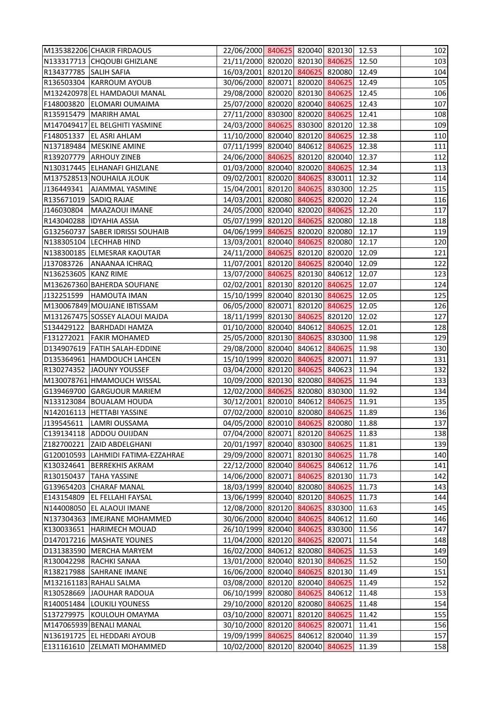|                        | M135382206 CHAKIR FIRDAOUS         | 22/06/2000 840625 820040 820130 12.53 |  |        |       | 102 |
|------------------------|------------------------------------|---------------------------------------|--|--------|-------|-----|
|                        | N133317713 CHQOUBI GHIZLANE        | 21/11/2000 820020 820130 840625 12.50 |  |        |       | 103 |
| R134377785 SALIH SAFIA |                                    | 16/03/2001 820120 840625 820080       |  |        | 12.49 | 104 |
|                        | R136503304 KARROUM AYOUB           | 30/06/2000 820071 820020 840625       |  |        | 12.49 | 105 |
|                        | M132420978 EL HAMDAOUI MANAL       | 29/08/2000 820020 820130 840625       |  |        | 12.45 | 106 |
|                        | F148003820 ELOMARI OUMAIMA         | 25/07/2000 820020 820040 840625       |  |        | 12.43 | 107 |
|                        | R135915479 MARIRH AMAL             | 27/11/2000 830300 820020 840625 12.41 |  |        |       | 108 |
|                        | M147049417 EL BELGHITI YASMINE     | 24/03/2000 840625 830300 820120       |  |        | 12.38 | 109 |
|                        | F148051337 EL ASRI AHLAM           | 11/10/2000 820040 820120 840625       |  |        | 12.38 | 110 |
|                        | N137189484 MESKINE AMINE           | 07/11/1999 820040 840612 840625 12.38 |  |        |       | 111 |
|                        | R139207779 ARHOUY ZINEB            | 24/06/2000 840625 820120 820040 12.37 |  |        |       | 112 |
|                        | N130317445 ELHANAFI GHIZLANE       | 01/03/2000 820040 820020 840625 12.34 |  |        |       | 113 |
|                        | M137528513 NOUHAILA JLOUK          | 09/02/2001 820020 840625 830011       |  |        | 12.32 | 114 |
| J136449341             | <b>AJAMMAL YASMINE</b>             | 15/04/2001 820120 840625 830300       |  |        | 12.25 | 115 |
| R135671019 SADIQ RAJAE |                                    | 14/03/2001 820080 840625 820020 12.24 |  |        |       | 116 |
| J146030804             | MAAZAOUI IMANE                     | 24/05/2000 820040 820020 840625 12.20 |  |        |       | 117 |
|                        | R143040288 IDYAHIA ASSIA           | 05/07/1999 820120 840625 820080 12.18 |  |        |       | 118 |
|                        | G132560737 SABER IDRISSI SOUHAIB   | 04/06/1999 840625 820020 820080       |  |        | 12.17 | 119 |
|                        | N138305104 LECHHAB HIND            | 13/03/2001 820040 840625 820080 12.17 |  |        |       | 120 |
|                        | N138300185 ELMESRAR KAOUTAR        | 24/11/2000 840625 820120 820020 12.09 |  |        |       | 121 |
| J137083726             | <b>ANAANAA ICHRAQ</b>              | 11/07/2001 820120 840625 820040 12.09 |  |        |       | 122 |
| N136253605 KANZ RIME   |                                    | 13/07/2000 840625 820130 840612 12.07 |  |        |       | 123 |
|                        | M136267360 BAHERDA SOUFIANE        | 02/02/2001 820130 820120 840625       |  |        | 12.07 | 124 |
| J132251599             | <b>HAMOUTA IMAN</b>                | 15/10/1999 820040 820130 840625 12.05 |  |        |       | 125 |
|                        | M130067849 MOUJANE IBTISSAM        | 06/05/2000 820071 820120 840625 12.05 |  |        |       | 126 |
|                        | M131267475 SOSSEY ALAOUI MAJDA     | 18/11/1999 820130 840625 820120 12.02 |  |        |       | 127 |
|                        | S134429122   BARHDADI HAMZA        | 01/10/2000 820040 840612 840625       |  |        | 12.01 | 128 |
| F131272021             | <b>FAKIR MOHAMED</b>               | 25/05/2000 820130 840625 830300       |  |        | 11.98 | 129 |
|                        | D134907619 FATIH SALAH-EDDINE      | 29/08/2000 820040 840612 840625       |  |        | 11.98 | 130 |
|                        | D135364961 HAMDOUCH LAHCEN         | 15/10/1999 820020 840625 820071       |  |        | 11.97 | 131 |
|                        | R130274352 JJAOUNY YOUSSEF         | 03/04/2000 820120 840625 840623 11.94 |  |        |       | 132 |
|                        | M130078761 HMAMOUCH WISSAL         | 10/09/2000 820130 820080 840625 11.94 |  |        |       | 133 |
|                        | G139469700 GARGUOUR MARIEM         | 12/02/2000 840625 820080 830300       |  |        | 11.92 | 134 |
|                        | N133123084 BOUALAM HOUDA           | 30/12/2001 820010 840612 840625       |  |        | 11.91 | 135 |
|                        | N142016113 HETTABI YASSINE         | 07/02/2000 820010 820080 840625       |  |        | 11.89 | 136 |
| J139545611             | LAMRI OUSSAMA                      | 04/05/2000 820010 840625 820080       |  |        | 11.88 | 137 |
| C139134118             | ADDOU OUIJDAN                      | 07/04/2000 820071 820120 840625       |  |        | 11.83 | 138 |
| Z182700221             | <b>ZAID ABDELGHANI</b>             | 20/01/1997 820040 830300 840625       |  |        | 11.81 | 139 |
|                        | G120010593 LAHMIDI FATIMA-EZZAHRAE | 29/09/2000 820071 820130 840625       |  |        | 11.78 | 140 |
| K130324641             | <b>BERREKHIS AKRAM</b>             | 22/12/2000 820040 840625 840612       |  |        | 11.76 | 141 |
| R130150437             | <b>TAHA YASSINE</b>                | 14/06/2000 820071 840625 820130       |  |        | 11.73 | 142 |
|                        | G139654203 CHARAF MANAL            | 18/03/1999 820040 820080 840625       |  |        | 11.73 | 143 |
| E143154809             | <b>EL FELLAHI FAYSAL</b>           | 13/06/1999 820040 820120 840625       |  |        | 11.73 | 144 |
| N144008050             | <b>EL ALAOUI IMANE</b>             | 12/08/2000 820120 840625 830300       |  |        | 11.63 | 145 |
|                        | N137304363 IMEJRANE MOHAMMED       | 30/06/2000 820040 840625 840612       |  |        | 11.60 | 146 |
| K130033651             | <b>HARIMECH MOUAD</b>              | 26/10/1999 820040 840625 830300       |  |        | 11.56 | 147 |
|                        | D147017216   MASHATE YOUNES        | 11/04/2000 820120 840625 820071       |  |        | 11.54 | 148 |
|                        | D131383590 MERCHA MARYEM           | 16/02/2000 840612 820080 840625       |  |        | 11.53 | 149 |
| R130042298             | <b>RACHKI SANAA</b>                | 13/01/2000 820040 820130 840625       |  |        | 11.52 | 150 |
|                        | R138217988 SAHRANE IMANE           | 16/06/2000 820040 840625 820130       |  |        | 11.49 | 151 |
|                        | M132161183 RAHALI SALMA            | 03/08/2000 820120 820040 840625       |  |        | 11.49 | 152 |
| R130528669             | JAOUHAR RADOUA                     | 06/10/1999 820080 840625 840612       |  |        | 11.48 | 153 |
|                        | R140051484 LOUKILI YOUNESS         | 29/10/2000 820120 820080 840625       |  |        | 11.48 | 154 |
| S137279975             | KOULOUH OMAYMA                     | 03/10/2000 820071 820120 840625       |  |        | 11.42 | 155 |
|                        | M147065939 BENALI MANAL            | 30/10/2000 820120 840625 820071       |  |        | 11.41 | 156 |
|                        | N136191725 EL HEDDARI AYOUB        | 19/09/1999 840625 840612 820040       |  |        | 11.39 | 157 |
| E131161610             | <b>ZELMATI MOHAMMED</b>            | 10/02/2000 820120 820040              |  | 840625 | 11.39 | 158 |